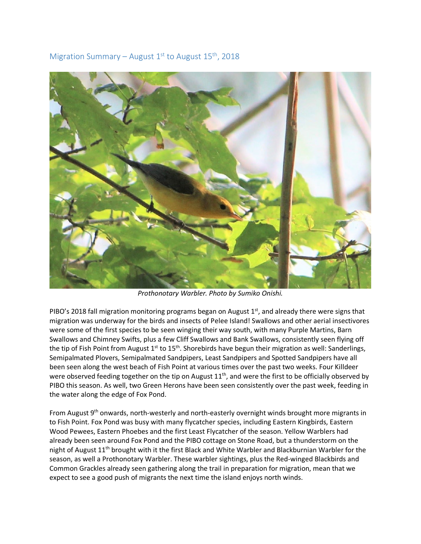



*Prothonotary Warbler. Photo by Sumiko Onishi.*

PIBO's 2018 fall migration monitoring programs began on August  $1<sup>st</sup>$ , and already there were signs that migration was underway for the birds and insects of Pelee Island! Swallows and other aerial insectivores were some of the first species to be seen winging their way south, with many Purple Martins, Barn Swallows and Chimney Swifts, plus a few Cliff Swallows and Bank Swallows, consistently seen flying off the tip of Fish Point from August  $1^{st}$  to  $15^{th}$ . Shorebirds have begun their migration as well: Sanderlings, Semipalmated Plovers, Semipalmated Sandpipers, Least Sandpipers and Spotted Sandpipers have all been seen along the west beach of Fish Point at various times over the past two weeks. Four Killdeer were observed feeding together on the tip on August 11<sup>th</sup>, and were the first to be officially observed by PIBO this season. As well, two Green Herons have been seen consistently over the past week, feeding in the water along the edge of Fox Pond.

From August  $9<sup>th</sup>$  onwards, north-westerly and north-easterly overnight winds brought more migrants in to Fish Point. Fox Pond was busy with many flycatcher species, including Eastern Kingbirds, Eastern Wood Pewees, Eastern Phoebes and the first Least Flycatcher of the season. Yellow Warblers had already been seen around Fox Pond and the PIBO cottage on Stone Road, but a thunderstorm on the night of August 11<sup>th</sup> brought with it the first Black and White Warbler and Blackburnian Warbler for the season, as well a Prothonotary Warbler. These warbler sightings, plus the Red-winged Blackbirds and Common Grackles already seen gathering along the trail in preparation for migration, mean that we expect to see a good push of migrants the next time the island enjoys north winds.